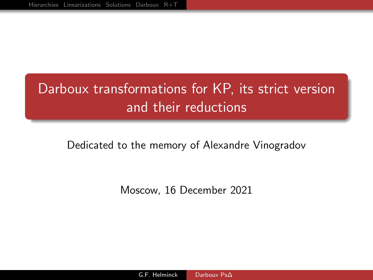# <span id="page-0-0"></span>Darboux transformations for KP, its strict version and their reductions

#### Dedicated to the memory of Alexandre Vinogradov

Moscow, 16 December 2021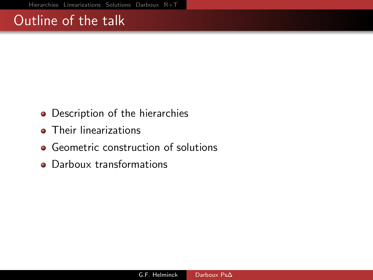# Outline of the talk

- Description of the hierarchies
- **•** Their linearizations
- Geometric construction of solutions
- Darboux transformations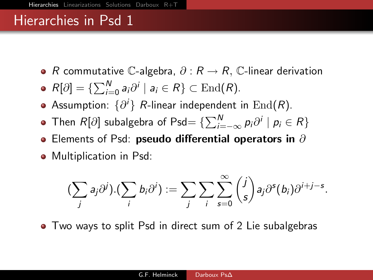- <span id="page-2-0"></span>• R commutative C-algebra,  $\partial: R \to R$ , C-linear derivation
- $R[\partial]=\{\sum_{i=0}^N a_i\partial^i\mid a_i\in R\}\subset \mathrm{End}(R).$
- Assumption:  $\{\partial^i\}$   $R$ -linear independent in  $\mathrm{End}(R).$
- Then  $R[\partial]$  subalgebra of Psd $= \{\sum_{i=-\infty}^{N} p_i \partial^i \mid p_i \in R\}$
- $\bullet$  Elements of Psd: pseudo differential operators in  $\partial$
- Multiplication in Psd:

$$
\left(\sum_j a_j \partial^j\right) \cdot \left(\sum_i b_i \partial^i\right) := \sum_j \sum_i \sum_{s=0}^{\infty} {j \choose s} a_j \partial^s(b_i) \partial^{i+j-s}.
$$

• Two ways to split Psd in direct sum of 2 Lie subalgebras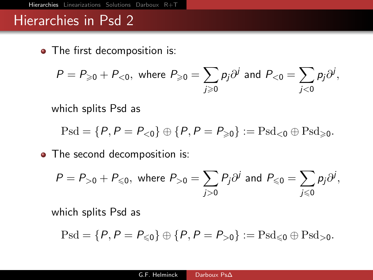• The first decomposition is:

$$
P=P_{\geqslant 0}+P_{<0}, \text{ where } P_{\geqslant 0}=\sum_{j\geqslant 0}p_j\partial^j \text{ and } P_{<0}=\sum_{j<0}p_j\partial^j,
$$

which splits Psd as

$$
\operatorname{Psd} = \{P, P = P_{<0}\} \oplus \{P, P = P_{\geqslant 0}\} := \operatorname{Psd}_{<0} \oplus \operatorname{Psd}_{\geqslant 0}.
$$

• The second decomposition is:

$$
P = P_{>0} + P_{\leq 0}, \text{ where } P_{>0} = \sum_{j>0} P_j \partial^j \text{ and } P_{\leq 0} = \sum_{j\leq 0} p_j \partial^j,
$$

which splits Psd as

$$
\operatorname{Psd} = \{P, P = P_{\leqslant 0}\} \oplus \{P, P = P_{>0}\} := \operatorname{Psd}_{\leqslant 0} \oplus \operatorname{Psd}_{>0}.
$$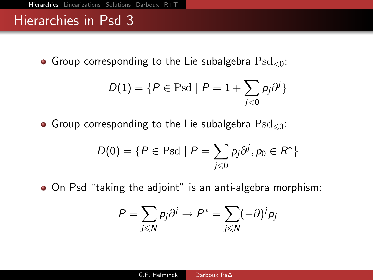Group corresponding to the Lie subalgebra  $\text{Psd}_{\leq 0}$ :

$$
D(1) = \{P \in \text{Psd} \mid P = 1 + \sum_{j < 0} p_j \partial^j\}
$$

Group corresponding to the Lie subalgebra  $\text{Psd}_{\leq 0}$ :

$$
D(0) = \{P \in \text{Psd} \mid P = \sum_{j \leq 0} p_j \partial^j, p_0 \in R^*\}
$$

On Psd "taking the adjoint" is an anti-algebra morphism:

$$
P = \sum_{j \leq N} p_j \partial^j \to P^* = \sum_{j \leq N} (-\partial)^j p_j
$$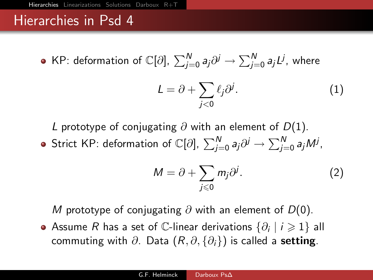KP: deformation of C[∂],  $\sum_{j=0}^N a_j \partial^j \to \sum_{j=0}^N a_j L^j$ , where

<span id="page-5-1"></span>
$$
L = \partial + \sum_{j < 0} \ell_j \partial^j. \tag{1}
$$

L prototype of conjugating  $\partial$  with an element of  $D(1)$ .

Strict KP: deformation of C[∂],  $\sum_{j=0}^N a_j \partial^j \to \sum_{j=0}^N a_j M^j$ ,

<span id="page-5-0"></span>
$$
M = \partial + \sum_{j \leq 0} m_j \partial^j. \tag{2}
$$

M prototype of conjugating  $\partial$  with an element of D(0).

Assume  $R$  has a set of  $\mathbb C$ -linear derivations  $\{\partial_i\mid i\geqslant 1\}$  all commuting with  $\partial$ . Data  $(R, \partial, \{\partial_i\})$  is called a **setting**.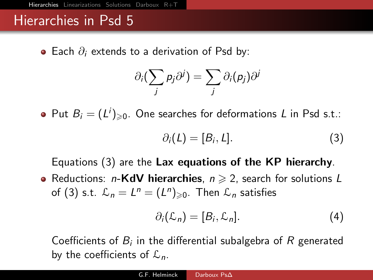$\bullet$  Each  $\partial_i$  extends to a derivation of Psd by:

$$
\partial_i \big( \sum_j p_j \partial^j \big) = \sum_j \partial_i (p_j) \partial^j
$$

Put  $B_i = (L^i)_{\geqslant 0}$ . One searches for deformations L in Psd s.t.:

<span id="page-6-0"></span>
$$
\partial_i(L) = [B_i, L]. \tag{3}
$$

Equations [\(3\)](#page-6-0) are the Lax equations of the KP hierarchy.

• Reductions: *n*-KdV hierarchies,  $n \geq 2$ , search for solutions L of [\(3\)](#page-6-0) s.t.  $\mathcal{L}_n = L^n = (L^n)_{\geqslant 0}$ . Then  $\mathcal{L}_n$  satisfies

$$
\partial_i(\mathcal{L}_n) = [B_i, \mathcal{L}_n]. \tag{4}
$$

Coefficients of  $B_i$  in the differential subalgebra of R generated by the coefficients of  $\mathcal{L}_n$ .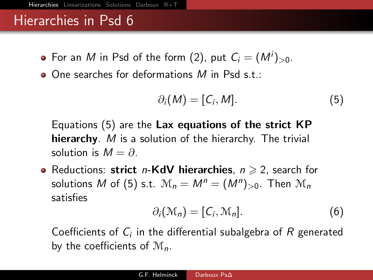- For an  $M$  in Psd of the form [\(2\)](#page-5-0), put  $C_i=(M^i)_{>0}.$
- $\bullet$  One searches for deformations M in Psd s.t.:

<span id="page-7-0"></span>
$$
\partial_i(M) = [C_i, M]. \tag{5}
$$

Equations [\(5\)](#page-7-0) are the Lax equations of the strict KP hierarchy. M is a solution of the hierarchy. The trivial solution is  $M = \partial$ .

• Reductions: strict n-KdV hierarchies,  $n \geqslant 2$ , search for solutions M of [\(5\)](#page-7-0) s.t.  $\mathcal{M}_n = M^n = (M^n)_{>0}$ . Then  $\mathcal{M}_n$ satisfies

$$
\partial_i(\mathcal{M}_n) = [C_i, \mathcal{M}_n]. \tag{6}
$$

Coefficients of  $C_i$  in the differential subalgebra of  $R$  generated by the coefficients of  $\mathcal{M}_n$ .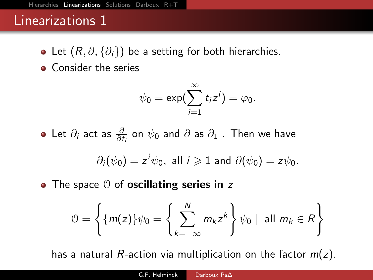- <span id="page-8-0"></span>• Let  $(R, \partial, \{\partial_i\})$  be a setting for both hierarchies.
- Consider the series

$$
\psi_0=\exp(\sum_{i=1}^\infty t_iz^i)=\varphi_0.
$$

Let  $\partial_i$  act as  $\frac{\partial}{\partial t_i}$  on  $\psi_0$  and  $\partial$  as  $\partial_1$  . Then we have

$$
\partial_i(\psi_0) = z^i \psi_0
$$
, all  $i \ge 1$  and  $\partial(\psi_0) = z \psi_0$ .

 $\bullet$  The space  $\theta$  of **oscillating series in** z

$$
\mathcal{O} = \left\{ \{m(z)\}\psi_0 = \left\{ \sum_{k=-\infty}^N m_k z^k \right\} \psi_0 \mid \text{ all } m_k \in R \right\}
$$

has a natural R-action via multiplication on the factor  $m(z)$ .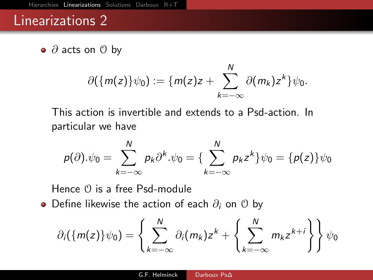$\bullet$  ∂ acts on  $\theta$  by

$$
\partial({m(z)}\psi_0):={m(z)z+\sum_{k=-\infty}^N\partial(m_k)z^k}\psi_0.
$$

This action is invertible and extends to a Psd-action. In particular we have

$$
p(\partial).\psi_0=\sum_{k=-\infty}^N p_k\partial^k.\psi_0=\{\sum_{k=-\infty}^N p_kz^k\}\psi_0=\{p(z)\}\psi_0
$$

Hence  $\theta$  is a free Psd-module

 $\bullet$  Define likewise the action of each  $\partial_i$  on  $\theta$  by

$$
\partial_i(\{m(z)\}\psi_0)=\left\{\sum_{k=-\infty}^N\partial_i(m_k)z^k+\left\{\sum_{k=-\infty}^Nm_kz^{k+i}\right\}\right\}\psi_0
$$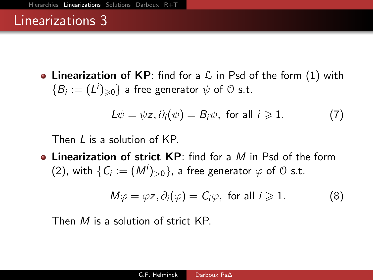• Linearization of KP: find for a  $\mathcal L$  in Psd of the form [\(1\)](#page-5-1) with  $\{B_i:=(L^i)_{\geqslant 0}\}$  a free generator  $\psi$  of  $\mathfrak O$  s.t.

<span id="page-10-0"></span>
$$
L\psi = \psi z, \partial_i(\psi) = B_i\psi, \text{ for all } i \geq 1. \tag{7}
$$

Then *L* is a solution of KP.

• Linearization of strict  $KP$ : find for a M in Psd of the form [\(2\)](#page-5-0), with  $\{C_i:=(M^i)_{>0}\}$ , a free generator  $\varphi$  of  $\mathfrak 0$  s.t.

<span id="page-10-1"></span>
$$
M\varphi = \varphi z, \partial_i(\varphi) = C_i\varphi, \text{ for all } i \geq 1. \tag{8}
$$

Then M is a solution of strict KP.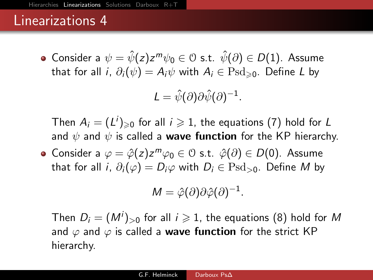Consider a  $\psi=\hat{\psi}(z)z^m\psi_0\in$  0 s.t.  $\hat{\psi}(\partial)\in D(1)$ . Assume that for all i,  $\partial_i(\psi) = A_i\psi$  with  $A_i \in \text{Psd}_{\geqslant 0}$ . Define L by

$$
L = \hat{\psi}(\partial)\partial \hat{\psi}(\partial)^{-1}.
$$

Then  $A_i=(L^i)_{\geqslant 0}$  for all  $i\geqslant 1$ , the equations [\(7\)](#page-10-0) hold for  $L$ and  $\psi$  and  $\psi$  is called a **wave function** for the KP hierarchy.

Consider a  $\varphi = \hat{\varphi}(z) z^m \varphi_0 \in \mathcal{O}$  s.t.  $\hat{\varphi}(\partial) \in D(0)$ . Assume that for all i,  $\partial_i(\varphi) = D_i\varphi$  with  $D_i \in \text{Psd}_{>0}$ . Define M by

$$
M = \hat{\varphi}(\partial)\partial\hat{\varphi}(\partial)^{-1}.
$$

Then  $D_i = (M^i)_{>0}$  for all  $i \geqslant 1$ , the equations [\(8\)](#page-10-1) hold for  $M$ and  $\varphi$  and  $\varphi$  is called a **wave function** for the strict KP hierarchy.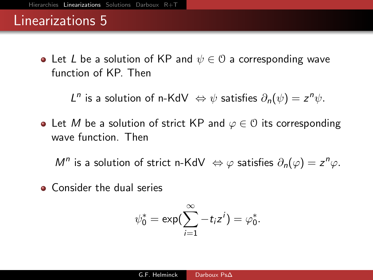• Let L be a solution of KP and  $\psi \in \mathcal{O}$  a corresponding wave function of KP. Then

L<sup>n</sup> is a solution of n-KdV  $\Leftrightarrow \psi$  satisfies  $\partial_n(\psi) = z^n \psi$ .

• Let M be a solution of strict KP and  $\varphi \in \mathcal{O}$  its corresponding wave function. Then

M<sup>n</sup> is a solution of strict n-KdV  $\Leftrightarrow \varphi$  satisfies  $\partial_n(\varphi) = z^n \varphi$ .

**Consider the dual series** 

$$
\psi_0^*=\exp\bigl(\sum_{i=1}^\infty -t_iz^i\bigr)=\varphi_0^*.
$$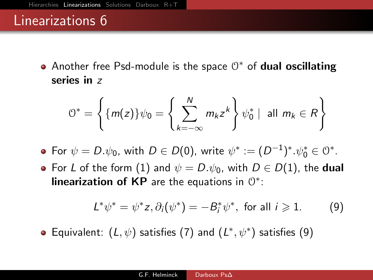Another free Psd-module is the space  $0^*$  of dual oscillating series in z

$$
\mathbb{O}^* = \left\{ \{m(z)\} \psi_0 = \left\{ \sum_{k=-\infty}^N m_k z^k \right\} \psi_0^* \mid \text{ all } m_k \in R \right\}
$$

- For  $\psi = D.\psi_0$ , with  $D \in D(0)$ , write  $\psi^* := (D^{-1})^*. \psi_0^* \in \mathcal{O}^*.$
- For L of the form [\(1\)](#page-5-1) and  $\psi = D.\psi_0$ , with  $D \in D(1)$ , the dual linearization of KP are the equations in  $0^*$ :

<span id="page-13-0"></span>
$$
L^*\psi^* = \psi^*z, \partial_i(\psi^*) = -B_i^*\psi^*, \text{ for all } i \geq 1. \tag{9}
$$

Equivalent:  $(L, \psi)$  satisfies [\(7\)](#page-10-0) and  $(L^*, \psi^*)$  satisfies [\(9\)](#page-13-0)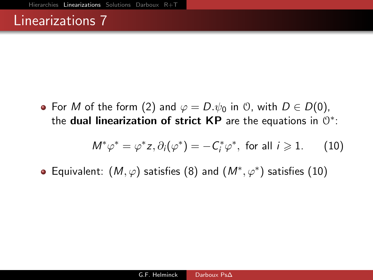• For M of the form [\(2\)](#page-5-0) and  $\varphi = D.\psi_0$  in 0, with  $D \in D(0)$ , the dual linearization of strict KP are the equations in  $0^*$ :

<span id="page-14-0"></span>
$$
M^*\varphi^* = \varphi^*z, \partial_i(\varphi^*) = -C_i^*\varphi^*, \text{ for all } i \geq 1. \qquad (10)
$$

Equivalent:  $(M, \varphi)$  satisfies [\(8\)](#page-10-1) and  $(M^*, \varphi^*)$  satisfies [\(10\)](#page-14-0)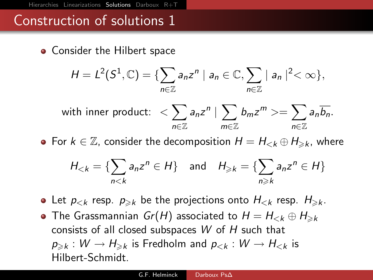<span id="page-15-0"></span>• Consider the Hilbert space

$$
H=L^2(S^1,\mathbb{C})=\{\sum_{n\in\mathbb{Z}}a_nz^n\mid a_n\in\mathbb{C},\sum_{n\in\mathbb{Z}}\mid a_n\mid^2<\infty\},\
$$

with inner product: 
$$
\langle \sum_{n \in \mathbb{Z}} a_n z^n | \sum_{m \in \mathbb{Z}} b_m z^m \rangle = \sum_{n \in \mathbb{Z}} a_n \overline{b_n}.
$$

• For  $k \in \mathbb{Z}$ , consider the decomposition  $H = H_{\leq k} \oplus H_{\geq k}$ , where

$$
H_{< k} = \{ \sum_{n < k} a_n z^n \in H \} \quad \text{and} \quad H_{\geq k} = \{ \sum_{n \geq k} a_n z^n \in H \}
$$

• Let  $p_{< k}$  resp.  $p_{\geq k}$  be the projections onto  $H_{< k}$  resp.  $H_{\geq k}$ .

• The Grassmannian  $Gr(H)$  associated to  $H = H_{< k} \oplus H_{\geq k}$ consists of all closed subspaces  $W$  of  $H$  such that  $p_{\geqslant k}:W\to H_{\geqslant k}$  is Fredholm and  $p_{< k}:W\to H_{< k}$  is Hilbert-Schmidt.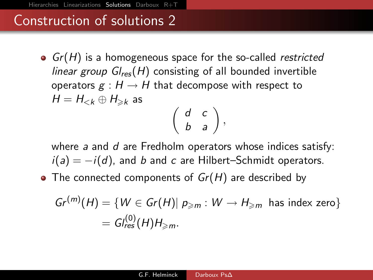•  $Gr(H)$  is a homogeneous space for the so-called restricted linear group  $Gl_{res}(H)$  consisting of all bounded invertible operators  $g : H \to H$  that decompose with respect to  $H = H_{\leq k} \oplus H_{\geq k}$  as  $\left(\begin{array}{cc} d & c \\ b & a \end{array}\right),$ 

where  $a$  and  $d$  are Fredholm operators whose indices satisfy:  $i(a) = -i(d)$ , and b and c are Hilbert–Schmidt operators.

• The connected components of  $Gr(H)$  are described by

$$
Gr^{(m)}(H) = \{ W \in Gr(H) | p_{\geq m} : W \to H_{\geq m} \text{ has index zero} \}
$$
  
= 
$$
Gl_{res}^{(0)}(H)H_{\geq m}.
$$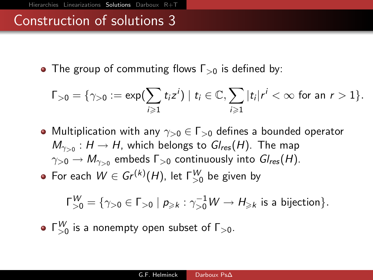• The group of commuting flows  $\Gamma_{>0}$  is defined by:

$$
\Gamma_{>0}=\{\gamma_{>0}:=\exp(\sum_{i\geq 1}t_iz^i)\mid t_i\in\mathbb{C},\sum_{i\geq 1}|t_i|r^i<\infty \text{ for an }r>1\}.
$$

• Multiplication with any  $\gamma_{>0}\in \Gamma_{>0}$  defines a bounded operator  $M_{\gamma_{>0}}:H\to H$ , which belongs to  $Gl_{\mathsf{res}}(H).$  The map  $\gamma_{>0}\to M_{\gamma_{>0}}$  embeds  $\mathsf{\Gamma}_{>0}$  continuously into  $\mathsf{Gl}_{\mathsf{res}}(H).$ For each  $W \in Gr^{(k)}(H)$ , let  $\Gamma_{>0}^W$  be given by

$$
\Gamma_{>0}^W = \{ \gamma_{>0} \in \Gamma_{>0} \mid p_{\geqslant k} : \gamma_{>0}^{-1} W \to H_{\geqslant k} \text{ is a bijection} \}.
$$

 $\Gamma_{>0}^{W}$  is a nonempty open subset of  $\Gamma_{>0}$ .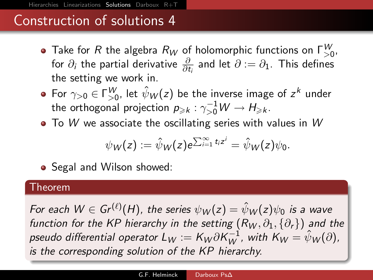- Take for  $R$  the algebra  $R_W$  of holomorphic functions on  $\mathsf{\Gamma}^W_{>0}$ , for  $\partial_i$  the partial derivative  $\frac{\partial}{\partial t_i}$  and let  $\partial := \partial_1$ . This defines the setting we work in.
- For  $\gamma_{>0}\in \Gamma^W_{>0}$ , let  $\hat{\psi}_W(z)$  be the inverse image of  $z^k$  under the orthogonal projection  $p_{\geqslant k}:\gamma_{>0}^{-1}W\to H_{\geqslant k}.$
- $\bullet$  To W we associate the oscillating series with values in W

$$
\psi_W(z):=\hat{\psi}_W(z)e^{\sum_{i=1}^\infty t_iz^i}=\hat{\psi}_W(z)\psi_0.
$$

• Segal and Wilson showed:

#### Theorem

For each  $W\in Gr^{(\ell)}(H)$ , the series  $\psi_W(z)=\hat{\psi}_W(z)\psi_0$  is a wave function for the KP hierarchy in the setting  $(R_W, \partial_1, \{\partial_r\})$  and the pseudo differential operator  $L_W:=K_W\partial K_W^{-1}$ , with  $K_W=\hat{\psi}_W(\partial),$ is the corresponding solution of the KP hierarchy.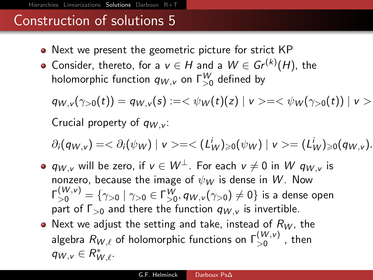- Next we present the geometric picture for strict KP
- Consider, thereto, for a  $v\in H$  and a  $W\in Gr^{(k)}(H)$ , the holomorphic function  $q_{W, \nu}$  on  $\mathsf{\Gamma}^W_{>0}$  defined by

 $q_{W,v}(\gamma_{>0}(t)) = q_{W,v}(s) := \langle \psi_W(t)(z) | v \rangle = \langle \psi_W(\gamma_{>0}(t)) | v \rangle$ Crucial property of  $q_{W,V}$ :

$$
\partial_i(q_{W,v})=<\partial_i(\psi_W)\mid v>=<(L_W^i)_{\geq 0}(\psi_W)\mid v>=(L_W^i)_{\geq 0}(q_{W,v}).
$$

- $q_{W,v}$  will be zero, if  $v \in W^{\perp}$ . For each  $v \neq 0$  in W  $q_{W,v}$  is nonzero, because the image of  $\psi_W$  is dense in W. Now  $\mathsf{\Gamma}_{>0}^{(W,\mathsf{v})} = \{\gamma_{>0}\mid \gamma_{>0}\in \mathsf{\Gamma}_{>0}^{W}, q_{W,\mathsf{v}}(\gamma_{>0})\neq 0\}$  is a dense open part of  $\Gamma_{>0}$  and there the function  $q_{W,V}$  is invertible.
- Next we adjust the setting and take, instead of  $R_W$ , the algebra  $R_{W,\ell}$  of holomorphic functions on  $\mathsf{\Gamma}^{(W,\nu)}_{>0}$  , then  $q_{W,v} \in R^*_{W,\ell}.$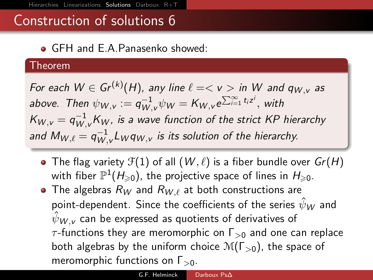GFH and E.A.Panasenko showed:

#### Theorem

For each  $W \in \textit{Gr}^{(k)}(H)$ , any line  $\ell = < v >$  in  $W$  and  $q_{W,v}$  as above. Then  $\psi_{W,\nu}:=q_{W,\nu}^{-1}\psi_W=K_{W,\nu}e^{\sum_{i=1}^\infty t_iz^i},$  with  $K_{W,\nu}=q_{W,\nu}^{-1}K_W$ , is a wave function of the strict KP hierarchy and  $M_{W,\ell} = q_{W_\lambda}^{-1}$  $_{W,\mathrm{v}}^{-1}$ L $_W$ q $_{W,\mathrm{v}}$  is its solution of the hierarchy.

- The flag variety  $\mathcal{F}(1)$  of all  $(W, \ell)$  is a fiber bundle over  $Gr(H)$ with fiber  $\mathbb{P}^1(\mathcal{H}_{\geqslant 0})$ , the projective space of lines in  $\mathcal{H}_{\geqslant 0}.$
- The algebras  $R_W$  and  $R_{W,\ell}$  at both constructions are point-dependent. Since the coefficients of the series  $\hat{\psi}_W$  and  $\hat{\psi}_{W}$ , can be expressed as quotients of derivatives of  $\tau$ -functions they are meromorphic on  $\Gamma_{>0}$  and one can replace both algebras by the uniform choice  $\mathcal{M}(\Gamma_{>0})$ , the space of meromorphic functions on  $\Gamma_{>0}$ .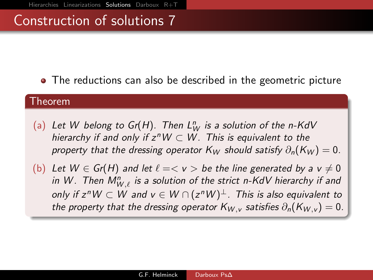• The reductions can also be described in the geometric picture

#### Theorem

- (a) Let W belong to  $Gr(H)$ . Then  $L_W^n$  is a solution of the n-KdV hierarchy if and only if  $z<sup>n</sup>W \subset W$ . This is equivalent to the property that the dressing operator  $K_W$  should satisfy  $\partial_n(K_W) = 0$ .
- (b) Let  $W \in Gr(H)$  and let  $\ell = \langle v \rangle$  be the line generated by a  $v \neq 0$ in W . Then  $M_{W,\ell}^n$  is a solution of the strict n-KdV hierarchy if and only if z"  $W\subset W$  and  $v\in W\cap (z^nW)^{\perp}.$  This is also equivalent to the property that the dressing operator  $K_{W,y}$  satisfies  $\partial_n(K_{W,y}) = 0$ .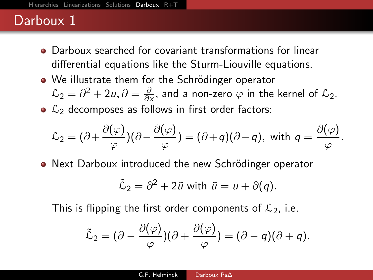- <span id="page-22-0"></span>Darboux searched for covariant transformations for linear differential equations like the Sturm-Liouville equations.
- We illustrate them for the Schrödinger operator  $\mathcal{L}_2 = \partial^2 + 2u, \partial = \frac{\partial}{\partial \lambda}$  $\frac{\partial}{\partial x}$ , and a non-zero  $\varphi$  in the kernel of  $\mathcal{L}_2$ .
- $\bullet$   $\mathcal{L}_2$  decomposes as follows in first order factors:

$$
\mathcal{L}_2=(\partial+\frac{\partial(\varphi)}{\varphi})(\partial-\frac{\partial(\varphi)}{\varphi})=(\partial+q)(\partial-q), \text{ with } q=\frac{\partial(\varphi)}{\varphi}.
$$

• Next Darboux introduced the new Schrödinger operator

$$
\tilde{\mathcal{L}}_2 = \partial^2 + 2\tilde{u} \text{ with } \tilde{u} = u + \partial(q).
$$

This is flipping the first order components of  $\mathcal{L}_2$ , i.e.

$$
\tilde{\mathcal{L}}_2=(\partial-\frac{\partial(\varphi)}{\varphi})(\partial+\frac{\partial(\varphi)}{\varphi})=(\partial-q)(\partial+q).
$$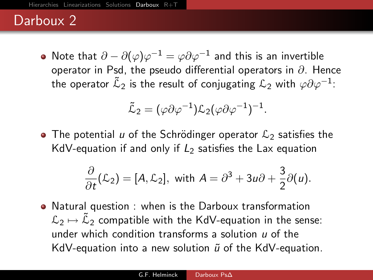Note that  $\partial - \partial (\varphi) \varphi^{-1} = \varphi \partial \varphi^{-1}$  and this is an invertible operator in Psd, the pseudo differential operators in  $\partial$ . Hence the operator  $\tilde{\cal L}_2$  is the result of conjugating  ${\cal L}_2$  with  $\varphi\partial\varphi^{-1}$ :

$$
\tilde{\mathcal{L}}_2 = (\varphi \partial \varphi^{-1}) \mathcal{L}_2 (\varphi \partial \varphi^{-1})^{-1}.
$$

• The potential u of the Schrödinger operator  $\mathcal{L}_2$  satisfies the KdV-equation if and only if  $L_2$  satisfies the Lax equation

$$
\frac{\partial}{\partial t}(\mathcal{L}_2) = [A, \mathcal{L}_2], \text{ with } A = \partial^3 + 3u\partial + \frac{3}{2}\partial(u).
$$

Natural question : when is the Darboux transformation  $\mathcal{L}_2 \mapsto \tilde{\mathcal{L}}_2$  compatible with the KdV-equation in the sense: under which condition transforms a solution  $\mu$  of the KdV-equation into a new solution  $\tilde{u}$  of the KdV-equation.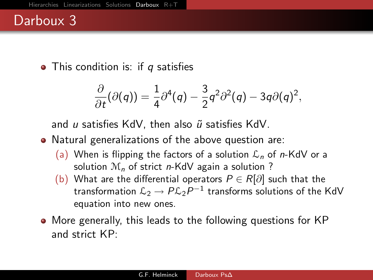$\bullet$  This condition is: if q satisfies

$$
\frac{\partial}{\partial t}(\partial(q))=\frac{1}{4}\partial^4(q)-\frac{3}{2}q^2\partial^2(q)-3q\partial(q)^2,
$$

and  $u$  satisfies KdV, then also  $\tilde{u}$  satisfies KdV.

- Natural generalizations of the above question are:
	- (a) When is flipping the factors of a solution  $\mathcal{L}_n$  of n-KdV or a solution  $\mathcal{M}_n$  of strict n-KdV again a solution ?
	- (b) What are the differential operators  $P \in R[\partial]$  such that the transformation  ${\mathcal L}_2 \to P {\mathcal L}_2 P^{-1}$  transforms solutions of the KdV equation into new ones.
- More generally, this leads to the following questions for KP and strict KP: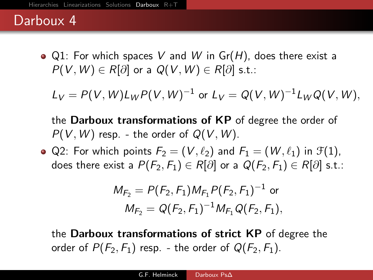$\bullet$  Q1: For which spaces V and W in Gr(H), does there exist a  $P(V, W) \in R[\partial]$  or a  $Q(V, W) \in R[\partial]$  s.t.:

 $L_V = P(V, W) L_W P(V, W)^{-1}$  or  $L_V = Q(V, W)^{-1} L_W Q(V, W),$ 

the Darboux transformations of KP of degree the order of  $P(V, W)$  resp. - the order of  $Q(V, W)$ .

• Q2: For which points  $F_2 = (V, \ell_2)$  and  $F_1 = (W, \ell_1)$  in  $\mathcal{F}(1)$ , does there exist a  $P(F_2, F_1) \in R[\partial]$  or a  $Q(F_2, F_1) \in R[\partial]$  s.t.:

$$
M_{F_2} = P(F_2, F_1) M_{F_1} P(F_2, F_1)^{-1}
$$
 or  

$$
M_{F_2} = Q(F_2, F_1)^{-1} M_{F_1} Q(F_2, F_1),
$$

the Darboux transformations of strict KP of degree the order of  $P(F_2, F_1)$  resp. - the order of  $Q(F_2, F_1)$ .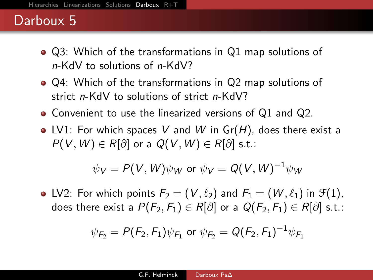### Darboux<sub>5</sub>

- Q3: Which of the transformations in Q1 map solutions of n-KdV to solutions of n-KdV?
- Q4: Which of the transformations in Q2 map solutions of strict n-KdV to solutions of strict n-KdV?
- Convenient to use the linearized versions of Q1 and Q2.
- LV1: For which spaces V and W in  $Gr(H)$ , does there exist a  $P(V, W) \in R[\partial]$  or a  $Q(V, W) \in R[\partial]$  s.t.:

$$
\psi_V = P(V, W)\psi_W \text{ or } \psi_V = Q(V, W)^{-1}\psi_W
$$

• LV2: For which points  $F_2 = (V, \ell_2)$  and  $F_1 = (W, \ell_1)$  in  $\mathcal{F}(1)$ , does there exist a  $P(F_2, F_1) \in R[\partial]$  or a  $Q(F_2, F_1) \in R[\partial]$  s.t.:

$$
\psi_{F_2} = P(F_2, F_1)\psi_{F_1}
$$
 or  $\psi_{F_2} = Q(F_2, F_1)^{-1}\psi_{F_1}$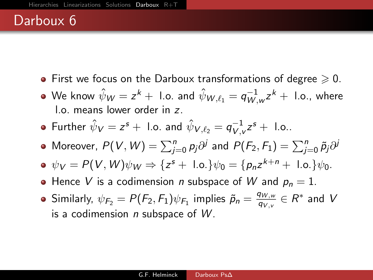- $\bullet$  First we focus on the Darboux transformations of degree  $\geqslant 0$ .
- We know  $\hat{\psi}_{{\sf W}}=z^k+$  l.o. and  $\hat{\psi}_{{\sf W},\ell_1}=q_{{\sf W},\ell_2}^{-1}$  $\overline{W}_{,\mathsf{w}}^{-1}z^k + \mathsf{I.o.}, \mathsf{where}$ l.o. means lower order in z.
- Further  $\hat{\psi}_{\bm V} = z^{\bm s} + \,$  l.o. and  $\hat{\psi}_{{\bm V},\ell_2} = q_{{\bm V},v}^{-1}$  $v^{-1}_{V, v} z^s + 1$ .o..
- Moreover,  $P(V,W)=\sum_{j=0}^n p_j\partial^j$  and  $P(F_2,F_1)=\sum_{j=0}^n \tilde{p}_j\partial^j$
- $\psi_V = P(V, W)\psi_W \Rightarrow \{z^s + \text{ l.o.}\}\psi_0 = \{p_n z^{k+n} + \text{ l.o.}\}\psi_0.$
- Hence V is a codimension *n* subspace of W and  $p_n = 1$ .
- Similarly,  $\psi_{F_2} = P(F_2, F_1) \psi_{F_1}$  implies  $\tilde{p}_n = \frac{q_{W,w}}{q_{V,v}}$  $\frac{q_{W,w}}{q_{V,v}}\in R^*$  and  $V$ is a codimension  $n$  subspace of  $W$ .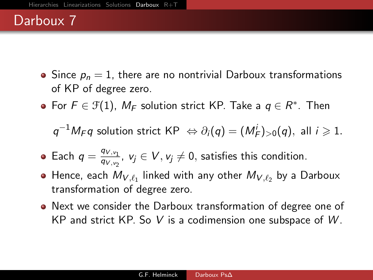- Since  $p_n = 1$ , there are no nontrivial Darboux transformations of KP of degree zero.
- For  $F \in \mathcal{F}(1)$ ,  $M_F$  solution strict KP. Take a  $q \in R^*$ . Then

 $q^{-1}M_F q$  solution strict KP  $\Leftrightarrow \partial_i(q) = (M_F^i)_{>0}(q)$ , all  $i \geq 1$ .

- Each  $q = \frac{q_{V, v_1}}{q_{V, v_2}}$  $\frac{q_{V, v_1}}{q_{V, v_2}}$ ,  $v_j \in V, v_j \neq 0$ , satisfies this condition.
- Hence, each  $M_{V, \ell_1}$  linked with any other  $M_{V, \ell_2}$  by a Darboux transformation of degree zero.
- Next we consider the Darboux transformation of degree one of KP and strict KP. So V is a codimension one subspace of  $W$ .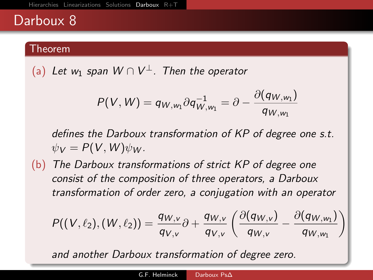#### Theorem

(a) Let w<sub>1</sub> span  $W \cap V^{\perp}$ . Then the operator

$$
P(V,W)=q_{W,w_1}\partial q_{W,w_1}^{-1}=\partial-\frac{\partial (q_{W,w_1})}{q_{W,w_1}}
$$

defines the Darboux transformation of KP of degree one s.t.  $\psi_V = P(V, W) \psi_W$ .

(b) The Darboux transformations of strict KP of degree one consist of the composition of three operators, a Darboux transformation of order zero, a conjugation with an operator

$$
P((V,\ell_2),(W,\ell_2))=\frac{q_{W,v}}{q_{V,v}}\partial+\frac{q_{W,v}}{q_{V,v}}\left(\frac{\partial (q_{W,v})}{q_{W,v}}-\frac{\partial (q_{W,w_1})}{q_{W,w_1}}\right)
$$

and another Darboux transformation of degree zero.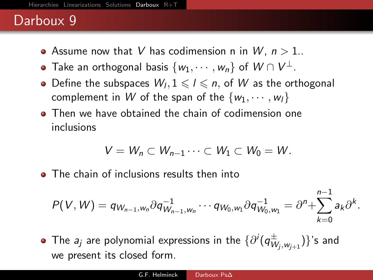- Assume now that V has codimension n in W,  $n > 1$ ..
- Take an orthogonal basis  $\{w_1, \cdots, w_n\}$  of  $W \cap V^{\perp}.$
- Define the subspaces  $W_l, 1 \leq l \leq n$ , of W as the orthogonal complement in W of the span of the  $\{w_1, \dots, w_l\}$
- **Then we have obtained the chain of codimension one** inclusions

$$
V=W_n\subset W_{n-1}\cdots\subset W_1\subset W_0=W.
$$

• The chain of inclusions results then into

$$
P(V, W) = q_{W_{n-1}, W_n} \partial q_{W_{n-1}, W_n}^{-1} \cdots q_{W_0, W_1} \partial q_{W_0, W_1}^{-1} = \partial^n + \sum_{k=0}^{n-1} a_k \partial^k.
$$

The  $a_j$  are polynomial expressions in the  $\{\partial^i(q_W^\pm) \}$  $(\overset{\pm}{W}_{j}, \overset{}{\substack{\textbf{w}_{j+1}}})\}$ 's and we present its closed form.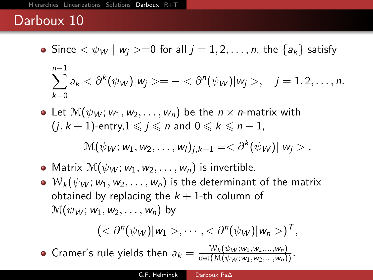- Since  $\langle \psi_W | w_i \rangle = 0$  for all  $j = 1, 2, \ldots, n$ , the  $\{a_k\}$  satisfy  $\sum_{j=1}^{n-1}a_k<\partial^{k}(\psi_{W})|w_j>=-<\partial^{n}(\psi_{W})|w_j>,\quad j=1,2,\ldots,n.$  $k=0$
- Let  $\mathcal{M}(\psi_W; w_1, w_2, \ldots, w_n)$  be the  $n \times n$ -matrix with  $(j, k + 1)$ -entry, $1 \leq j \leq n$  and  $0 \leq k \leq n - 1$ ,

$$
\mathcal{M}(\psi_W; w_1, w_2, \ldots, w_l)_{j,k+1} = \langle \partial^k(\psi_W) | w_j \rangle.
$$

- Matrix  $\mathcal{M}(\psi_W; w_1, w_2, \ldots, w_n)$  is invertible.
- $\bullet$   $\mathcal{W}_k(\psi_W; w_1, w_2, \ldots, w_n)$  is the determinant of the matrix obtained by replacing the  $k + 1$ -th column of  $\mathcal{M}(\psi_W; w_1, w_2, \ldots, w_n)$  by

$$
(<\partial^n(\psi_W)|w_1>,\cdots,<\partial^n(\psi_W)|w_n>)^T,
$$

Cramer's rule yields then  $a_k = \frac{-\mathcal{W}_k(\psi_W; w_1, w_2, ..., w_n)}{\det(\mathcal{M}(\psi_W; w_1, w_2, ..., w_n))}$ .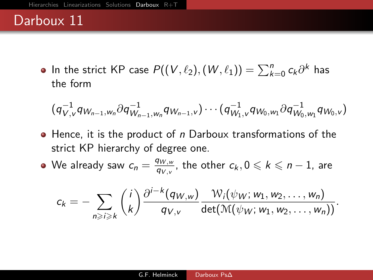In the strict KP case  $P((V, \ell_2), (W, \ell_1)) = \sum_{k=0}^n c_k \partial^k$  has the form

$$
(q_{V,v}^{-1} q_{W_{n-1},W_n} \partial q_{W_{n-1},W_n}^{-1} q_{W_{n-1},v}) \cdots (q_{W_1,v}^{-1} q_{W_0,W_1} \partial q_{W_0,W_1}^{-1} q_{W_0,v})
$$

 $\bullet$  Hence, it is the product of n Darboux transformations of the strict KP hierarchy of degree one.

We already saw  $c_n = \frac{q_{W,w}}{q_{W,w}}$  $\frac{q_{W,\textcolor{black}{w}}}{q_{V,\textcolor{black}{v}}}$ , the other  $c_k, 0 \leqslant k \leqslant n-1$ , are

$$
c_k=-\sum_{n\geqslant i\geqslant k}\binom{i}{k}\frac{\partial^{i-k}(q_{W,w})}{q_{V,v}}\frac{\mathcal{W}_i(\psi_W; w_1,w_2,\ldots,w_n)}{\det(\mathcal{M}(\psi_W; w_1,w_2,\ldots,w_n))}.
$$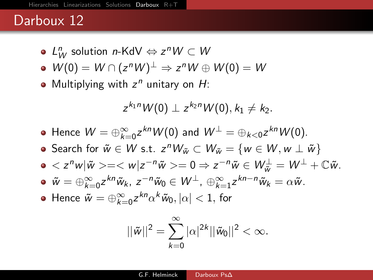- $L^n_W$  solution n-KdV  $\Leftrightarrow$   $z^nW\subset W$
- $W(0) = W \cap (z^n W)^{\perp} \Rightarrow z^n W \oplus W(0) = W$
- Multiplying with  $z^n$  unitary on  $H$ :

$$
z^{k_1n}W(0)\perp z^{k_2n}W(0), k_1\neq k_2.
$$

- Hence  $W = \bigoplus_{k=0}^{\infty} z^{kn} W(0)$  and  $W^{\perp} = \bigoplus_{k < 0} z^{kn} W(0)$ .
- Search for  $\tilde{w} \in W$  s.t.  $z^n W_{\tilde{w}} \subset W_{\tilde{w}} = \{w \in W, w \perp \tilde{w}\}\$
- $< z^n w |\tilde{w}>= < w | z^{-n} \tilde{w}>= 0 \Rightarrow z^{-n} \tilde{w} \in W_{\tilde{w}}^{\perp} = W^{\perp} + \mathbb{C} \tilde{w}.$
- $\tilde{w} = \bigoplus_{k=0}^{\infty} z^{kn} \tilde{w}_k$ ,  $z^{-n} \tilde{w}_0 \in W^{\perp}$ ,  $\bigoplus_{k=1}^{\infty} z^{kn-n} \tilde{w}_k = \alpha \tilde{w}$ .
- Hence  $\tilde{w} = \oplus_{k=0}^{\infty} z^{kn} \alpha^k \tilde{w}_0, |\alpha| < 1$ , for

$$
||\tilde{w}||^2 = \sum_{k=0}^{\infty} |\alpha|^{2k} ||\tilde{w}_0||^2 < \infty.
$$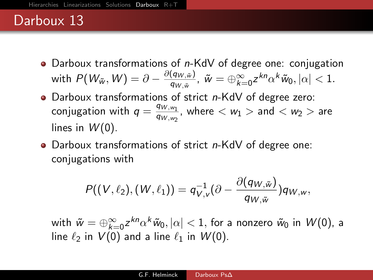- Darboux transformations of  $n$ -KdV of degree one: conjugation with  $P(\mathcal{W}_{\tilde{w}},W)=\partial-\frac{\partial(q_{W,\tilde{w}})}{q_{W,\tilde{w}}}$  $\frac{(q_{W,\tilde w})}{q_{W,\tilde w}}, \ \tilde w=\oplus_{k=0}^\infty z^{kn}\alpha^k\tilde w_0, |\alpha|< 1.$
- Darboux transformations of strict  $n$ -KdV of degree zero: conjugation with  $q = \frac{q_{W,w_1}}{q_{W,w_1}}$  $\frac{q_{W,w_1}}{q_{W,w_2}}$ , where  $< w_1 >$  and  $< w_2 >$  are lines in  $W(0)$ .
- Darboux transformations of strict n-KdV of degree one: conjugations with

$$
P((V,\ell_2),(W,\ell_1))=q_{V,v}^{-1}(\partial-\frac{\partial(q_{W,\tilde{w}})}{q_{W,\tilde{w}}})q_{W,w},
$$

with  $\tilde{w}=\oplus_{k=0}^{\infty}z^{kn}\alpha^k\tilde{w}_0, |\alpha|< 1,$  for a nonzero  $\tilde{w}_0$  in  $W(0)$ , a line  $\ell_2$  in  $V(0)$  and a line  $\ell_1$  in  $W(0)$ .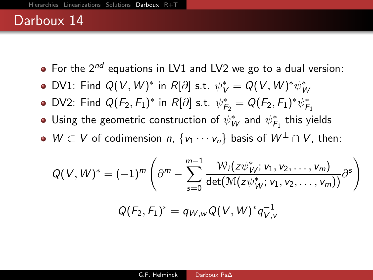- $\bullet$  For the 2<sup>nd</sup> equations in LV1 and LV2 we go to a dual version:
- DV1: Find  $Q(V, W)^*$  in  $R[\partial]$  s.t.  $\psi_V^* = Q(V, W)^* \psi_W^*$
- DV2: Find  $Q(F_2, F_1)^*$  in  $R[\partial]$  s.t.  $\psi_{F_2}^* = Q(F_2, F_1)^* \psi_{F_1}^*$
- Using the geometric construction of  $\psi_W^*$  and  $\psi_{\mathcal{F}_1}^*$  this yields
- $\bullet$   $W \subset V$  of codimension n,  $\{v_1 \cdots v_n\}$  basis of  $W^{\perp} \cap V$ , then:

$$
Q(V,W)^* = (-1)^m \left( \partial^m - \sum_{s=0}^{m-1} \frac{\mathcal{W}_i(z\psi_W^*, v_1, v_2, \dots, v_m)}{\det(\mathcal{M}(z\psi_W^*, v_1, v_2, \dots, v_m))} \partial^s \right)
$$

$$
Q(F_2, F_1)^* = q_{W,w} Q(V,W)^* q_{V,v}^{-1}
$$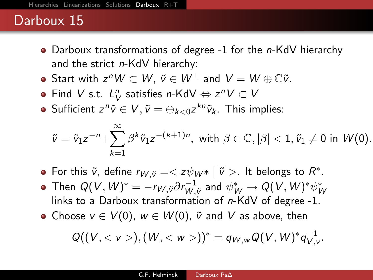- Darboux transformations of degree -1 for the n-KdV hierarchy and the strict n-KdV hierarchy:
- Start with  $z^n W \subset W$ ,  $\tilde{v} \in W^{\perp}$  and  $V = W \oplus \mathbb{C} \tilde{v}$ .
- Find V s.t.  $L_V^n$  satisfies n-KdV  $\Leftrightarrow z^nV\subset V$
- Sufficient  $z^n \tilde{v} \in V$ ,  $\tilde{v} = \bigoplus_{k < 0} z^{kn} \tilde{v}_k$ . This implies:

$$
\tilde{v}=\tilde{v}_1z^{-n}+\sum_{k=1}^\infty\beta^k\tilde{v}_1z^{-(k+1)n},\,\,\text{with}\,\,\beta\in\mathbb{C},|\beta|<1,\tilde{v}_1\neq 0\,\,\text{in}\,\,W(0).
$$

- For this  $\tilde{v}$ , define  $r_{W, \tilde{v}} = < z \psi_{W^*} | \overline{\tilde{v}} >$ . It belongs to  $R^*$ .
- Then  $Q(V,W)^* = -r_{W, \tilde{v}} \partial r_{W, \tilde{v}}^{-1}$  $\stackrel{\cdot -1}{w,\tilde{\mathsf{v}}}$  and  $\psi_{W}^{\ast}\to \mathsf{Q}(\mathsf{V},\mathsf{W})^{\ast}\psi_{W}^{\ast}$ links to a Darboux transformation of n-KdV of degree -1.
- Choose  $v \in V(0)$ ,  $w \in W(0)$ ,  $\tilde{v}$  and V as above, then

$$
Q((V, ), (W, ))^{*} = q_{W,w} Q(V, W)^{*} q_{V,v}^{-1}.
$$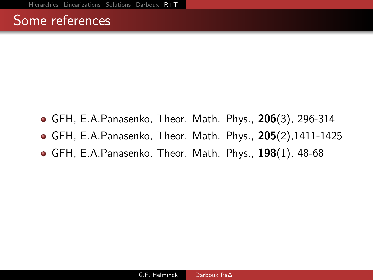#### <span id="page-37-0"></span>Some references

- GFH, E.A.Panasenko, Theor. Math. Phys., 206(3), 296-314
- GFH, E.A.Panasenko, Theor. Math. Phys., 205(2),1411-1425
- $\bullet$  GFH, E.A.Panasenko, Theor. Math. Phys., 198 $(1)$ , 48-68